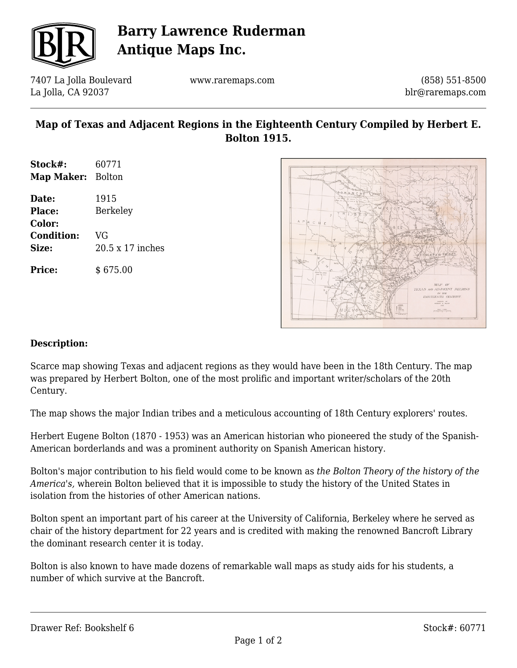

# **Barry Lawrence Ruderman Antique Maps Inc.**

7407 La Jolla Boulevard La Jolla, CA 92037

www.raremaps.com

(858) 551-8500 blr@raremaps.com

### **Map of Texas and Adjacent Regions in the Eighteenth Century Compiled by Herbert E. Bolton 1915.**

**Stock#:** 60771 **Map Maker:** Bolton **Date:** 1915 **Place:** Berkeley **Color: Condition:** VG **Size:** 20.5 x 17 inches

**Price:** \$ 675.00



#### **Description:**

Scarce map showing Texas and adjacent regions as they would have been in the 18th Century. The map was prepared by Herbert Bolton, one of the most prolific and important writer/scholars of the 20th Century.

The map shows the major Indian tribes and a meticulous accounting of 18th Century explorers' routes.

Herbert Eugene Bolton (1870 - 1953) was an American historian who pioneered the study of the Spanish-American borderlands and was a prominent authority on Spanish American history.

Bolton's major contribution to his field would come to be known as *the Bolton Theory of the history of the America's,* wherein Bolton believed that it is impossible to study the history of the United States in isolation from the histories of other American nations.

Bolton spent an important part of his career at the University of California, Berkeley where he served as chair of the history department for 22 years and is credited with making the renowned Bancroft Library the dominant research center it is today.

Bolton is also known to have made dozens of remarkable wall maps as study aids for his students, a number of which survive at the Bancroft.